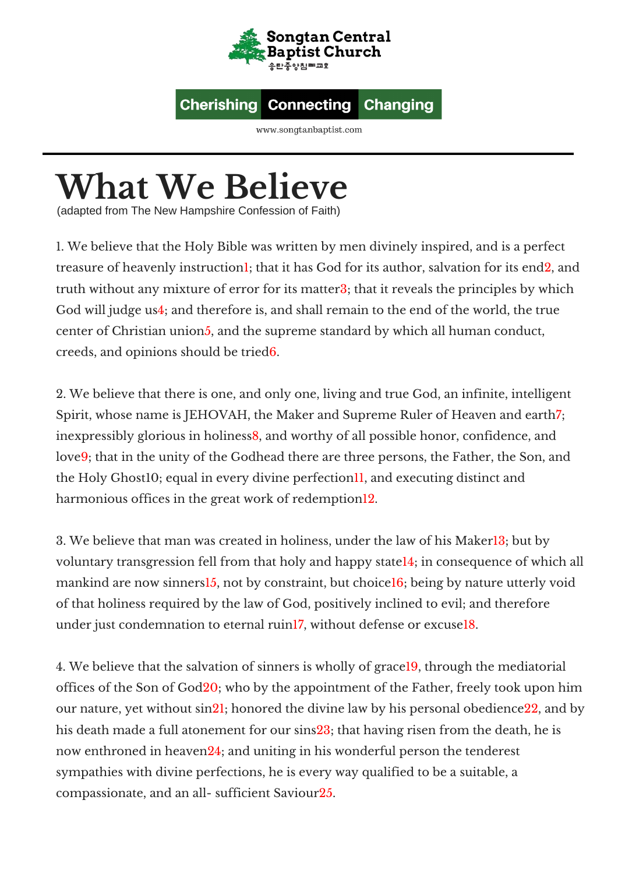

## **Cherishing Changing Connecting**

www.songtanbaptist.com

## **What We Believe**

(adapted from The New Hampshire Confession of Faith)

1. We believe that the Holy Bible was written by men divinely inspired, and is a perfect treasure of heavenly instruction1; that it has God for its author, salvation for its end2, and truth without any mixture of error for its matter3; that it reveals the principles by which God will judge us4; and therefore is, and shall remain to the end of the world, the true center of Christian union5, and the supreme standard by which all human conduct, creeds, and opinions should be tried6.

2. We believe that there is one, and only one, living and true God, an infinite, intelligent Spirit, whose name is JEHOVAH, the Maker and Supreme Ruler of Heaven and earth. inexpressibly glorious in holiness8, and worthy of all possible honor, confidence, and love9; that in the unity of the Godhead there are three persons, the Father, the Son, and the Holy Ghost10; equal in every divine perfection11, and executing distinct and harmonious offices in the great work of redemption<sup>12</sup>.

3. We believe that man was created in holiness, under the law of his Maker13; but by voluntary transgression fell from that holy and happy state14; in consequence of which all mankind are now sinners<sup>15</sup>, not by constraint, but choice<sup>16</sup>; being by nature utterly void of that holiness required by the law of God, positively inclined to evil; and therefore under just condemnation to eternal ruin17, without defense or excuse18.

4. We believe that the salvation of sinners is wholly of grace19, through the mediatorial offices of the Son of God20; who by the appointment of the Father, freely took upon him our nature, yet without sin21; honored the divine law by his personal obedience22, and by his death made a full atonement for our sins23; that having risen from the death, he is now enthroned in heaven24; and uniting in his wonderful person the tenderest sympathies with divine perfections, he is every way qualified to be a suitable, a compassionate, and an all- sufficient Saviour25.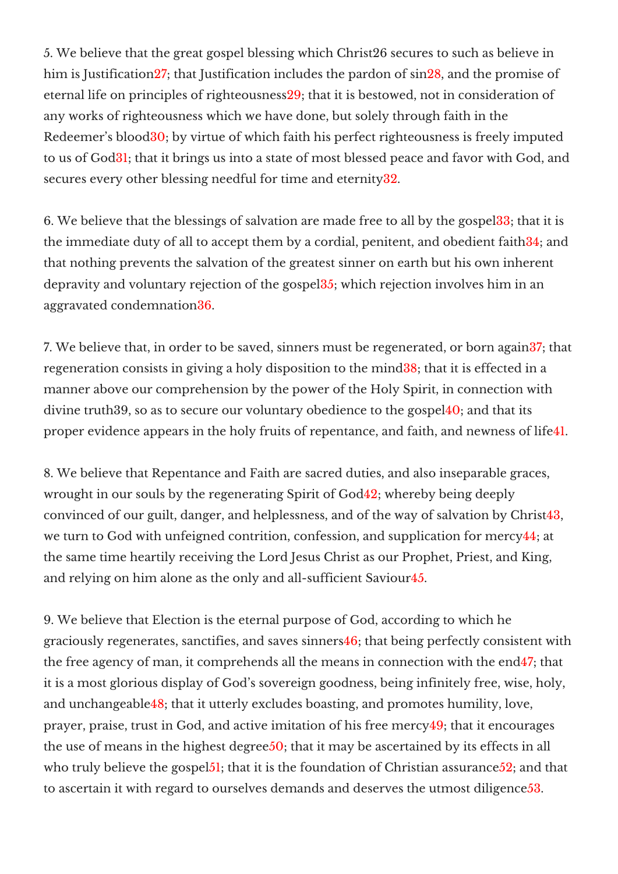5. We believe that the great gospel blessing which Christ26 secures to such as believe in him is Justification 27; that Justification includes the pardon of sin 28, and the promise of eternal life on principles of righteousness29; that it is bestowed, not in consideration of any works of righteousness which we have done, but solely through faith in the Redeemer's blood30; by virtue of which faith his perfect righteousness is freely imputed to us of God31; that it brings us into a state of most blessed peace and favor with God, and secures every other blessing needful for time and eternity32.

6. We believe that the blessings of salvation are made free to all by the gospel33; that it is the immediate duty of all to accept them by a cordial, penitent, and obedient faith34; and that nothing prevents the salvation of the greatest sinner on earth but his own inherent depravity and voluntary rejection of the gospel35; which rejection involves him in an aggravated condemnation36.

7. We believe that, in order to be saved, sinners must be regenerated, or born again37; that regeneration consists in giving a holy disposition to the mind38; that it is effected in a manner above our comprehension by the power of the Holy Spirit, in connection with divine truth39, so as to secure our voluntary obedience to the gospel40; and that its proper evidence appears in the holy fruits of repentance, and faith, and newness of life41.

8. We believe that Repentance and Faith are sacred duties, and also inseparable graces, wrought in our souls by the regenerating Spirit of God42; whereby being deeply convinced of our guilt, danger, and helplessness, and of the way of salvation by Christ43, we turn to God with unfeigned contrition, confession, and supplication for mercy44; at the same time heartily receiving the Lord Jesus Christ as our Prophet, Priest, and King, and relying on him alone as the only and all-sufficient Saviour45.

9. We believe that Election is the eternal purpose of God, according to which he graciously regenerates, sanctifies, and saves sinners46; that being perfectly consistent with the free agency of man, it comprehends all the means in connection with the end47; that it is a most glorious display of God's sovereign goodness, being infinitely free, wise, holy, and unchangeable48; that it utterly excludes boasting, and promotes humility, love, prayer, praise, trust in God, and active imitation of his free mercy49; that it encourages the use of means in the highest degree 50; that it may be ascertained by its effects in all who truly believe the gospel<sup>51</sup>; that it is the foundation of Christian assurance<sup>52</sup>; and that to ascertain it with regard to ourselves demands and deserves the utmost diligence53.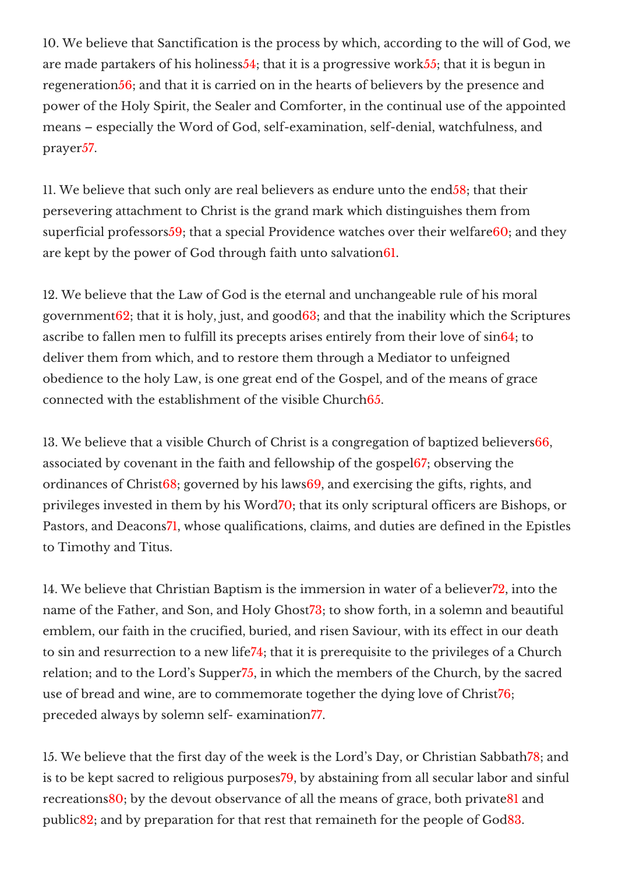10. We believe that Sanctification is the process by which, according to the will of God, we are made partakers of his holiness54; that it is a progressive work55; that it is begun in regeneration 56; and that it is carried on in the hearts of believers by the presence and power of the Holy Spirit, the Sealer and Comforter, in the continual use of the appointed means – especially the Word of God, self-examination, self-denial, watchfulness, and prayer57.

11. We believe that such only are real believers as endure unto the end58; that their persevering attachment to Christ is the grand mark which distinguishes them from superficial professors59; that a special Providence watches over their welfare60; and they are kept by the power of God through faith unto salvation61.

12. We believe that the Law of God is the eternal and unchangeable rule of his moral government $62$ ; that it is holy, just, and good $63$ ; and that the inability which the Scriptures ascribe to fallen men to fulfill its precepts arises entirely from their love of sin64; to deliver them from which, and to restore them through a Mediator to unfeigned obedience to the holy Law, is one great end of the Gospel, and of the means of grace connected with the establishment of the visible Church65.

13. We believe that a visible Church of Christ is a congregation of baptized believers66, associated by covenant in the faith and fellowship of the gospel67; observing the ordinances of Christ68; governed by his laws69, and exercising the gifts, rights, and privileges invested in them by his Word70; that its only scriptural officers are Bishops, or Pastors, and Deacons71, whose qualifications, claims, and duties are defined in the Epistles to Timothy and Titus.

14. We believe that Christian Baptism is the immersion in water of a believer72, into the name of the Father, and Son, and Holy Ghost73; to show forth, in a solemn and beautiful emblem, our faith in the crucified, buried, and risen Saviour, with its effect in our death to sin and resurrection to a new life74; that it is prerequisite to the privileges of a Church relation; and to the Lord's Supper75, in which the members of the Church, by the sacred use of bread and wine, are to commemorate together the dying love of Christ76; preceded always by solemn self- examination77.

15. We believe that the first day of the week is the Lord's Day, or Christian Sabbath78; and is to be kept sacred to religious purposes79, by abstaining from all secular labor and sinful recreations80; by the devout observance of all the means of grace, both private81 and public82; and by preparation for that rest that remaineth for the people of God83.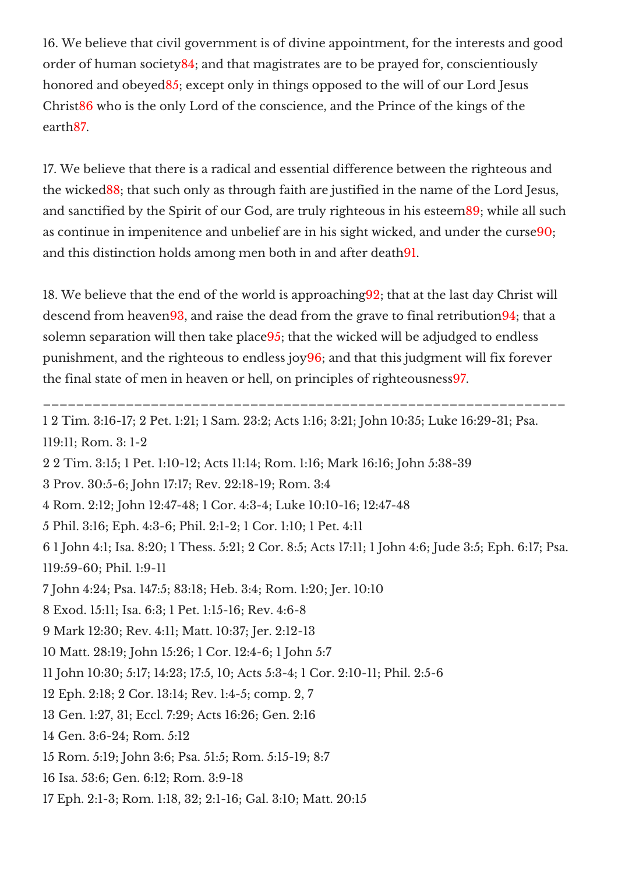16. We believe that civil government is of divine appointment, for the interests and good order of human society84; and that magistrates are to be prayed for, conscientiously honored and obeyed85; except only in things opposed to the will of our Lord Jesus Christ86 who is the only Lord of the conscience, and the Prince of the kings of the earth87.

17. We believe that there is a radical and essential difference between the righteous and the wicked88; that such only as through faith are justified in the name of the Lord Jesus, and sanctified by the Spirit of our God, are truly righteous in his esteem89; while all such as continue in impenitence and unbelief are in his sight wicked, and under the curse90; and this distinction holds among men both in and after death91.

18. We believe that the end of the world is approaching92; that at the last day Christ will descend from heaven 93, and raise the dead from the grave to final retribution 94; that a solemn separation will then take place95; that the wicked will be adjudged to endless punishment, and the righteous to endless joy96; and that this judgment will fix forever the final state of men in heaven or hell, on principles of righteousness97.

1 2 Tim. 3:16-17; 2 Pet. 1:21; 1 Sam. 23:2; Acts 1:16; 3:21; John 10:35; Luke 16:29-31; Psa.

\_\_\_\_\_\_\_\_\_\_\_\_\_\_\_\_

119:11; Rom. 3: 1-2

2 2 Tim. 3:15; 1 Pet. 1:10-12; Acts 11:14; Rom. 1:16; Mark 16:16; John 5:38-39

3 Prov. 30:5-6; John 17:17; Rev. 22:18-19; Rom. 3:4

4 Rom. 2:12; John 12:47-48; 1 Cor. 4:3-4; Luke 10:10-16; 12:47-48

5 Phil. 3:16; Eph. 4:3-6; Phil. 2:1-2; 1 Cor. 1:10; 1 Pet. 4:11

6 1 John 4:1; Isa. 8:20; 1 Thess. 5:21; 2 Cor. 8:5; Acts 17:11; 1 John 4:6; Jude 3:5; Eph. 6:17; Psa. 119:59-60; Phil. 1:9-11

7 John 4:24; Psa. 147:5; 83:18; Heb. 3:4; Rom. 1:20; Jer. 10:10

8 Exod. 15:11; Isa. 6:3; 1 Pet. 1:15-16; Rev. 4:6-8

9 Mark 12:30; Rev. 4:11; Matt. 10:37; Jer. 2:12-13

10 Matt. 28:19; John 15:26; 1 Cor. 12:4-6; 1 John 5:7

11 John 10:30; 5:17; 14:23; 17:5, 10; Acts 5:3-4; 1 Cor. 2:10-11; Phil. 2:5-6

12 Eph. 2:18; 2 Cor. 13:14; Rev. 1:4-5; comp. 2, 7

13 Gen. 1:27, 31; Eccl. 7:29; Acts 16:26; Gen. 2:16

14 Gen. 3:6-24; Rom. 5:12

15 Rom. 5:19; John 3:6; Psa. 51:5; Rom. 5:15-19; 8:7

16 Isa. 53:6; Gen. 6:12; Rom. 3:9-18

17 Eph. 2:1-3; Rom. 1:18, 32; 2:1-16; Gal. 3:10; Matt. 20:15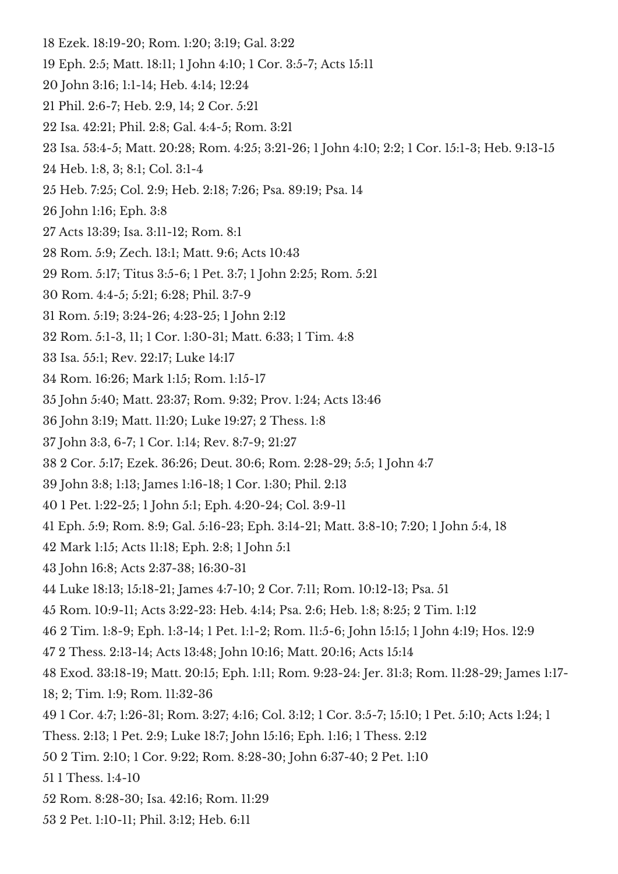- Ezek. 18:19-20; Rom. 1:20; 3:19; Gal. 3:22
- Eph. 2:5; Matt. 18:11; 1 John 4:10; 1 Cor. 3:5-7; Acts 15:11
- John 3:16; 1:1-14; Heb. 4:14; 12:24
- Phil. 2:6-7; Heb. 2:9, 14; 2 Cor. 5:21
- Isa. 42:21; Phil. 2:8; Gal. 4:4-5; Rom. 3:21
- Isa. 53:4-5; Matt. 20:28; Rom. 4:25; 3:21-26; 1 John 4:10; 2:2; 1 Cor. 15:1-3; Heb. 9:13-15
- Heb. 1:8, 3; 8:1; Col. 3:1-4
- Heb. 7:25; Col. 2:9; Heb. 2:18; 7:26; Psa. 89:19; Psa. 14
- John 1:16; Eph. 3:8
- Acts 13:39; Isa. 3:11-12; Rom. 8:1
- Rom. 5:9; Zech. 13:1; Matt. 9:6; Acts 10:43
- Rom. 5:17; Titus 3:5-6; 1 Pet. 3:7; 1 John 2:25; Rom. 5:21
- Rom. 4:4-5; 5:21; 6:28; Phil. 3:7-9
- Rom. 5:19; 3:24-26; 4:23-25; 1 John 2:12
- Rom. 5:1-3, 11; 1 Cor. 1:30-31; Matt. 6:33; 1 Tim. 4:8
- Isa. 55:1; Rev. 22:17; Luke 14:17
- Rom. 16:26; Mark 1:15; Rom. 1:15-17
- John 5:40; Matt. 23:37; Rom. 9:32; Prov. 1:24; Acts 13:46
- John 3:19; Matt. 11:20; Luke 19:27; 2 Thess. 1:8
- John 3:3, 6-7; 1 Cor. 1:14; Rev. 8:7-9; 21:27
- 2 Cor. 5:17; Ezek. 36:26; Deut. 30:6; Rom. 2:28-29; 5:5; 1 John 4:7
- John 3:8; 1:13; James 1:16-18; 1 Cor. 1:30; Phil. 2:13
- 1 Pet. 1:22-25; 1 John 5:1; Eph. 4:20-24; Col. 3:9-11
- Eph. 5:9; Rom. 8:9; Gal. 5:16-23; Eph. 3:14-21; Matt. 3:8-10; 7:20; 1 John 5:4, 18
- Mark 1:15; Acts 11:18; Eph. 2:8; 1 John 5:1
- John 16:8; Acts 2:37-38; 16:30-31
- Luke 18:13; 15:18-21; James 4:7-10; 2 Cor. 7:11; Rom. 10:12-13; Psa. 51
- Rom. 10:9-11; Acts 3:22-23: Heb. 4:14; Psa. 2:6; Heb. 1:8; 8:25; 2 Tim. 1:12
- 2 Tim. 1:8-9; Eph. 1:3-14; 1 Pet. 1:1-2; Rom. 11:5-6; John 15:15; 1 John 4:19; Hos. 12:9
- 2 Thess. 2:13-14; Acts 13:48; John 10:16; Matt. 20:16; Acts 15:14
- Exod. 33:18-19; Matt. 20:15; Eph. 1:11; Rom. 9:23-24: Jer. 31:3; Rom. 11:28-29; James 1:17-
- 18; 2; Tim. 1:9; Rom. 11:32-36
- 1 Cor. 4:7; 1:26-31; Rom. 3:27; 4:16; Col. 3:12; 1 Cor. 3:5-7; 15:10; 1 Pet. 5:10; Acts 1:24; 1
- Thess. 2:13; 1 Pet. 2:9; Luke 18:7; John 15:16; Eph. 1:16; 1 Thess. 2:12
- 2 Tim. 2:10; 1 Cor. 9:22; Rom. 8:28-30; John 6:37-40; 2 Pet. 1:10
- 1 Thess. 1:4-10
- Rom. 8:28-30; Isa. 42:16; Rom. 11:29
- 2 Pet. 1:10-11; Phil. 3:12; Heb. 6:11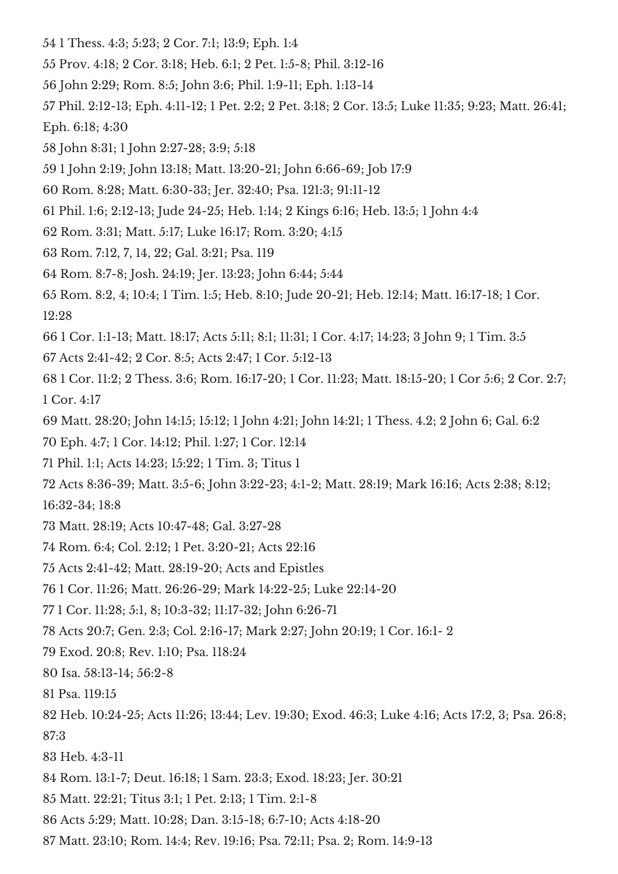- 1 Thess. 4:3; 5:23; 2 Cor. 7:1; 13:9; Eph. 1:4
- Prov. 4:18; 2 Cor. 3:18; Heb. 6:1; 2 Pet. 1:5-8; Phil. 3:12-16
- John 2:29; Rom. 8:5; John 3:6; Phil. 1:9-11; Eph. 1:13-14
- Phil. 2:12-13; Eph. 4:11-12; 1 Pet. 2:2; 2 Pet. 3:18; 2 Cor. 13:5; Luke 11:35; 9:23; Matt. 26:41; Eph. 6:18; 4:30
- John 8:31; 1 John 2:27-28; 3:9; 5:18
- 1 John 2:19; John 13:18; Matt. 13:20-21; John 6:66-69; Job 17:9
- Rom. 8:28; Matt. 6:30-33; Jer. 32:40; Psa. 121:3; 91:11-12
- Phil. 1:6; 2:12-13; Jude 24-25; Heb. 1:14; 2 Kings 6:16; Heb. 13:5; 1 John 4:4
- Rom. 3:31; Matt. 5:17; Luke 16:17; Rom. 3:20; 4:15
- Rom. 7:12, 7, 14, 22; Gal. 3:21; Psa. 119
- Rom. 8:7-8; Josh. 24:19; Jer. 13:23; John 6:44; 5:44
- Rom. 8:2, 4; 10:4; 1 Tim. 1:5; Heb. 8:10; Jude 20-21; Heb. 12:14; Matt. 16:17-18; 1 Cor. 12:28
- 1 Cor. 1:1-13; Matt. 18:17; Acts 5:11; 8:1; 11:31; 1 Cor. 4:17; 14:23; 3 John 9; 1 Tim. 3:5
- Acts 2:41-42; 2 Cor. 8:5; Acts 2:47; 1 Cor. 5:12-13
- 1 Cor. 11:2; 2 Thess. 3:6; Rom. 16:17-20; 1 Cor. 11:23; Matt. 18:15-20; 1 Cor 5:6; 2 Cor. 2:7; Cor. 4:17
- Matt. 28:20; John 14:15; 15:12; 1 John 4:21; John 14:21; 1 Thess. 4.2; 2 John 6; Gal. 6:2
- Eph. 4:7; 1 Cor. 14:12; Phil. 1:27; 1 Cor. 12:14
- Phil. 1:1; Acts 14:23; 15:22; 1 Tim. 3; Titus 1
- Acts 8:36-39; Matt. 3:5-6; John 3:22-23; 4:1-2; Matt. 28:19; Mark 16:16; Acts 2:38; 8:12;
- 16:32-34; 18:8
- Matt. 28:19; Acts 10:47-48; Gal. 3:27-28
- Rom. 6:4; Col. 2:12; 1 Pet. 3:20-21; Acts 22:16
- Acts 2:41-42; Matt. 28:19-20; Acts and Epistles
- 1 Cor. 11:26; Matt. 26:26-29; Mark 14:22-25; Luke 22:14-20
- 1 Cor. 11:28; 5:1, 8; 10:3-32; 11:17-32; John 6:26-71
- Acts 20:7; Gen. 2:3; Col. 2:16-17; Mark 2:27; John 20:19; 1 Cor. 16:1- 2
- Exod. 20:8; Rev. 1:10; Psa. 118:24
- Isa. 58:13-14; 56:2-8
- Psa. 119:15
- Heb. 10:24-25; Acts 11:26; 13:44; Lev. 19:30; Exod. 46:3; Luke 4:16; Acts 17:2, 3; Psa. 26:8;
- 87:3
- Heb. 4:3-11
- Rom. 13:1-7; Deut. 16:18; 1 Sam. 23:3; Exod. 18:23; Jer. 30:21
- Matt. 22:21; Titus 3:1; 1 Pet. 2:13; 1 Tim. 2:1-8
- Acts 5:29; Matt. 10:28; Dan. 3:15-18; 6:7-10; Acts 4:18-20
- Matt. 23:10; Rom. 14:4; Rev. 19:16; Psa. 72:11; Psa. 2; Rom. 14:9-13